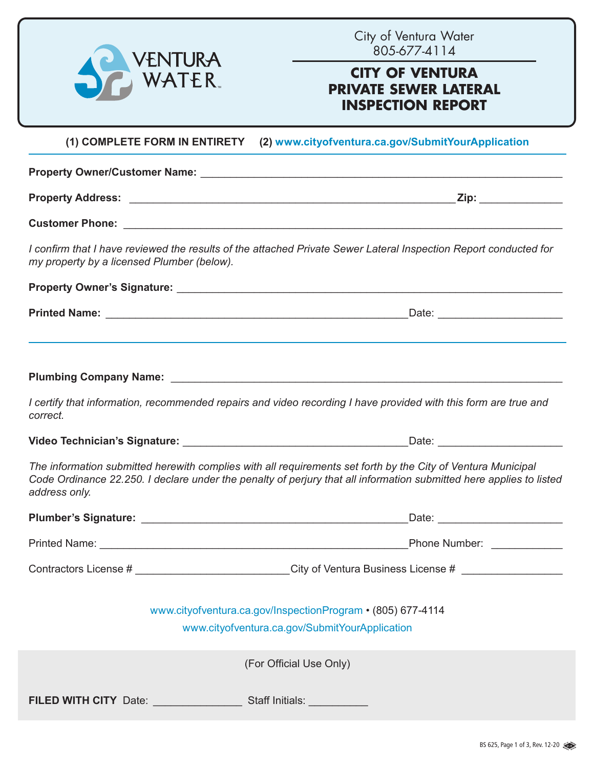| VENTURA<br>WATER                                                                                                              | City of Ventura Water<br>805-677-4114<br><b>CITY OF VENTURA</b><br><b>PRIVATE SEWER LATERAL</b><br><b>INSPECTION REPORT</b> |
|-------------------------------------------------------------------------------------------------------------------------------|-----------------------------------------------------------------------------------------------------------------------------|
|                                                                                                                               | (1) COMPLETE FORM IN ENTIRETY (2) www.cityofventura.ca.gov/SubmitYourApplication                                            |
|                                                                                                                               |                                                                                                                             |
|                                                                                                                               |                                                                                                                             |
|                                                                                                                               |                                                                                                                             |
| my property by a licensed Plumber (below).                                                                                    | I confirm that I have reviewed the results of the attached Private Sewer Lateral Inspection Report conducted for            |
|                                                                                                                               |                                                                                                                             |
|                                                                                                                               |                                                                                                                             |
| I certify that information, recommended repairs and video recording I have provided with this form are true and<br>correct.   |                                                                                                                             |
|                                                                                                                               |                                                                                                                             |
| The information submitted herewith complies with all requirements set forth by the City of Ventura Municipal<br>address only. | Code Ordinance 22.250. I declare under the penalty of perjury that all information submitted here applies to listed         |
|                                                                                                                               |                                                                                                                             |
|                                                                                                                               |                                                                                                                             |
|                                                                                                                               | Contractors License # ____________________________City of Ventura Business License # _______________                        |
|                                                                                                                               | www.cityofventura.ca.gov/InspectionProgram • (805) 677-4114<br>www.cityofventura.ca.gov/SubmitYourApplication               |
|                                                                                                                               | (For Official Use Only)                                                                                                     |
| FILED WITH CITY Date: Staff Initials:                                                                                         |                                                                                                                             |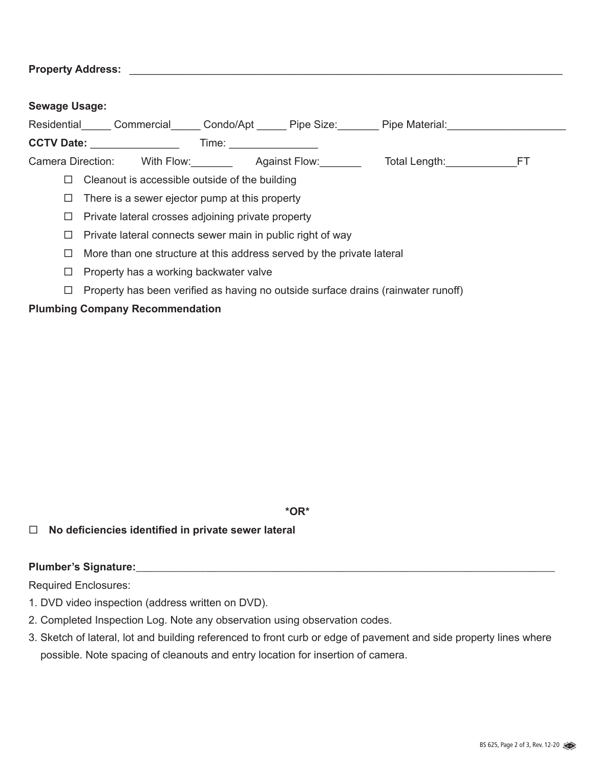**Property Address:** <u>and the set of the set of the set of the set of the set of the set of the set of the set of the set of the set of the set of the set of the set of the set of the set of the set of the set of the set of</u>

| <b>Sewage Usage:</b> |                                                                                                               |                                                                                                                                                                                                                                |                                                                                   |  |
|----------------------|---------------------------------------------------------------------------------------------------------------|--------------------------------------------------------------------------------------------------------------------------------------------------------------------------------------------------------------------------------|-----------------------------------------------------------------------------------|--|
|                      |                                                                                                               |                                                                                                                                                                                                                                | Residential Commercial Condo/Apt Pipe Size: Pipe Material:                        |  |
|                      | CCTV Date: Network of the Second Second Second Second Second Second Second Second Second Second Second Second | Time: The contract of the contract of the contract of the contract of the contract of the contract of the contract of the contract of the contract of the contract of the contract of the contract of the contract of the cont |                                                                                   |  |
|                      | Camera Direction: With Flow: Against Flow:                                                                    |                                                                                                                                                                                                                                | Total Length: FT                                                                  |  |
| $\Box$               | Cleanout is accessible outside of the building                                                                |                                                                                                                                                                                                                                |                                                                                   |  |
| $\Box$               | There is a sewer ejector pump at this property                                                                |                                                                                                                                                                                                                                |                                                                                   |  |
| $\Box$               | Private lateral crosses adjoining private property                                                            |                                                                                                                                                                                                                                |                                                                                   |  |
| ⊔                    | Private lateral connects sewer main in public right of way                                                    |                                                                                                                                                                                                                                |                                                                                   |  |
| ப                    | More than one structure at this address served by the private lateral                                         |                                                                                                                                                                                                                                |                                                                                   |  |
| ப                    | Property has a working backwater valve                                                                        |                                                                                                                                                                                                                                |                                                                                   |  |
| ப                    |                                                                                                               |                                                                                                                                                                                                                                | Property has been verified as having no outside surface drains (rainwater runoff) |  |

### **Plumbing Company Recommendation**

**\*OR\***

### **No deficiencies identified in private sewer lateral**

### Plumber's Signature: **We are all the set of the set of the set of the set of the set of the set of the set of the set of the set of the set of the set of the set of the set of the set of the set of the set of the set of th**

Required Enclosures:

- 1. DVD video inspection (address written on DVD).
- 2. Completed Inspection Log. Note any observation using observation codes.
- 3. Sketch of lateral, lot and building referenced to front curb or edge of pavement and side property lines where possible. Note spacing of cleanouts and entry location for insertion of camera.